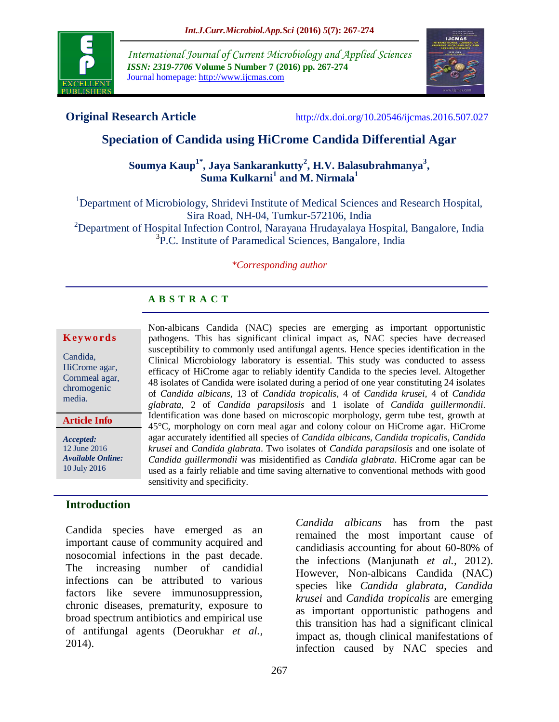

*International Journal of Current Microbiology and Applied Sciences ISSN: 2319-7706* **Volume 5 Number 7 (2016) pp. 267-274** Journal homepage: http://www.ijcmas.com



**Original Research Article** <http://dx.doi.org/10.20546/ijcmas.2016.507.027>

# **Speciation of Candida using HiCrome Candida Differential Agar**

## **Soumya Kaup1\* , Jaya Sankarankutty<sup>2</sup> , H.V. Balasubrahmanya<sup>3</sup> , Suma Kulkarni<sup>1</sup> and M. Nirmala<sup>1</sup>**

<sup>1</sup>Department of Microbiology, Shridevi Institute of Medical Sciences and Research Hospital, Sira Road, NH-04, Tumkur-572106, India <sup>2</sup>Department of Hospital Infection Control, Narayana Hrudayalaya Hospital, Bangalore, India <sup>3</sup>P.C. Institute of Paramedical Sciences, Bangalore, India

#### *\*Corresponding author*

Non-albicans Candida (NAC) species are emerging as important opportunistic pathogens. This has significant clinical impact as, NAC species have decreased susceptibility to commonly used antifungal agents. Hence species identification in the Clinical Microbiology laboratory is essential. This study was conducted to assess efficacy of HiCrome agar to reliably identify Candida to the species level. Altogether 48 isolates of Candida were isolated during a period of one year constituting 24 isolates of *Candida albicans,* 13 of *Candida tropicalis,* 4 of *Candida krusei,* 4 of *Candida glabrata,* 2 of *Candida parapsilosis* and 1 isolate of *Candida guillermondii*. Identification was done based on microscopic morphology, germ tube test, growth at 45°C, morphology on corn meal agar and colony colour on HiCrome agar. HiCrome agar accurately identified all species of *Candida albicans, Candida tropicalis, Candida krusei* and *Candida glabrata*. Two isolates of *Candida parapsilosis* and one isolate of *Candida guillermondii* was misidentified as *Candida glabrata*. HiCrome agar can be used as a fairly reliable and time saving alternative to conventional methods with good

# **A B S T R A C T**

sensitivity and specificity.

#### **K ey w o rd s**

Candida, HiCrome agar, Cornmeal agar, chromogenic media.

**Article Info**

*Accepted:*  12 June 2016 *Available Online:* 10 July 2016

## **Introduction**

Candida species have emerged as an important cause of community acquired and nosocomial infections in the past decade. The increasing number of candidial infections can be attributed to various factors like severe immunosuppression, chronic diseases, prematurity, exposure to broad spectrum antibiotics and empirical use of antifungal agents (Deorukhar *et al.,* 2014).

*Candida albicans* has from the past remained the most important cause of candidiasis accounting for about 60-80% of the infections (Manjunath *et al.,* 2012). However, Non-albicans Candida (NAC) species like *Candida glabrata*, *Candida krusei* and *Candida tropicalis* are emerging as important opportunistic pathogens and this transition has had a significant clinical impact as, though clinical manifestations of infection caused by NAC species and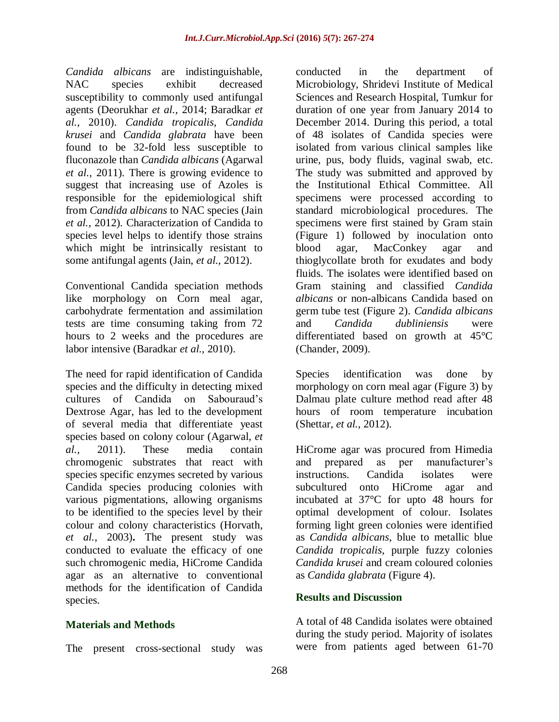*Candida albicans* are indistinguishable, NAC species exhibit decreased susceptibility to commonly used antifungal agents (Deorukhar *et al.,* 2014; Baradkar *et al.,* 2010). *Candida tropicalis*, *Candida krusei* and *Candida glabrata* have been found to be 32-fold less susceptible to fluconazole than *Candida albicans* (Agarwal *et al.,* 2011). There is growing evidence to suggest that increasing use of Azoles is responsible for the epidemiological shift from *Candida albicans* to NAC species (Jain *et al.,* 2012). Characterization of Candida to species level helps to identify those strains which might be intrinsically resistant to some antifungal agents (Jain, *et al.,* 2012).

Conventional Candida speciation methods like morphology on Corn meal agar, carbohydrate fermentation and assimilation tests are time consuming taking from 72 hours to 2 weeks and the procedures are labor intensive (Baradkar *et al.,* 2010).

The need for rapid identification of Candida species and the difficulty in detecting mixed cultures of Candida on Sabouraud's Dextrose Agar, has led to the development of several media that differentiate yeast species based on colony colour (Agarwal, *et al.,* 2011). These media contain chromogenic substrates that react with species specific enzymes secreted by various Candida species producing colonies with various pigmentations, allowing organisms to be identified to the species level by their colour and colony characteristics (Horvath, *et al.,* 2003)**.** The present study was conducted to evaluate the efficacy of one such chromogenic media, HiCrome Candida agar as an alternative to conventional methods for the identification of Candida species.

## **Materials and Methods**

The present cross-sectional study was

conducted in the department of Microbiology, Shridevi Institute of Medical Sciences and Research Hospital, Tumkur for duration of one year from January 2014 to December 2014. During this period, a total of 48 isolates of Candida species were isolated from various clinical samples like urine, pus, body fluids, vaginal swab, etc. The study was submitted and approved by the Institutional Ethical Committee. All specimens were processed according to standard microbiological procedures. The specimens were first stained by Gram stain (Figure 1) followed by inoculation onto blood agar, MacConkey agar and thioglycollate broth for exudates and body fluids. The isolates were identified based on Gram staining and classified *Candida albicans* or non-albicans Candida based on germ tube test (Figure 2). *Candida albicans* and *Candida dubliniensis* were differentiated based on growth at 45°C (Chander, 2009).

Species identification was done by morphology on corn meal agar (Figure 3) by Dalmau plate culture method read after 48 hours of room temperature incubation (Shettar, *et al.,* 2012).

HiCrome agar was procured from Himedia and prepared as per manufacturer's instructions. Candida isolates were subcultured onto HiCrome agar and incubated at 37°C for upto 48 hours for optimal development of colour. Isolates forming light green colonies were identified as *Candida albicans*, blue to metallic blue *Candida tropicalis*, purple fuzzy colonies *Candida krusei* and cream coloured colonies as *Candida glabrata* (Figure 4).

## **Results and Discussion**

A total of 48 Candida isolates were obtained during the study period. Majority of isolates were from patients aged between 61-70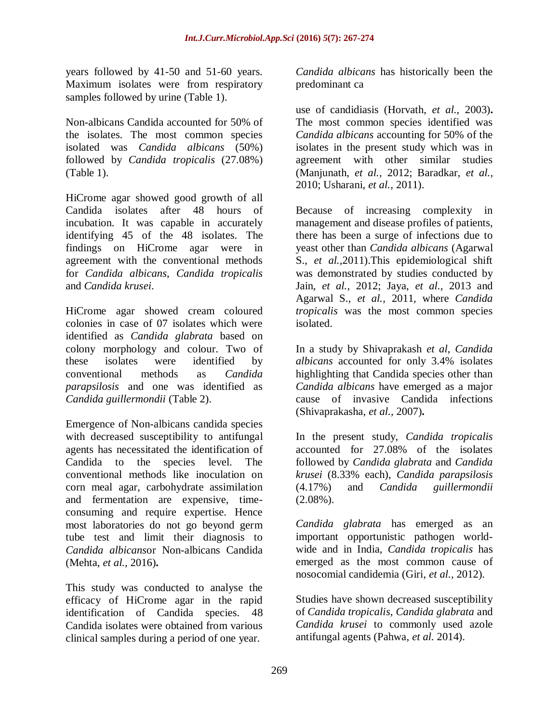years followed by 41-50 and 51-60 years. Maximum isolates were from respiratory samples followed by urine (Table 1).

Non-albicans Candida accounted for 50% of the isolates. The most common species isolated was *Candida albicans* (50%) followed by *Candida tropicalis* (27.08%) (Table 1).

HiCrome agar showed good growth of all Candida isolates after 48 hours of incubation. It was capable in accurately identifying 45 of the 48 isolates. The findings on HiCrome agar were in agreement with the conventional methods for *Candida albicans*, *Candida tropicalis* and *Candida krusei*.

HiCrome agar showed cream coloured colonies in case of 07 isolates which were identified as *Candida glabrata* based on colony morphology and colour. Two of these isolates were identified by conventional methods as *Candida parapsilosis* and one was identified as *Candida guillermondii* (Table 2).

Emergence of Non-albicans candida species with decreased susceptibility to antifungal agents has necessitated the identification of Candida to the species level. The conventional methods like inoculation on corn meal agar, carbohydrate assimilation and fermentation are expensive, timeconsuming and require expertise. Hence most laboratories do not go beyond germ tube test and limit their diagnosis to *Candida albicans*or Non-albicans Candida (Mehta, *et al.,* 2016)**.**

This study was conducted to analyse the efficacy of HiCrome agar in the rapid identification of Candida species. 48 Candida isolates were obtained from various clinical samples during a period of one year.

*Candida albicans* has historically been the predominant ca

use of candidiasis (Horvath, *et al.,* 2003)**.**  The most common species identified was *Candida albicans* accounting for 50% of the isolates in the present study which was in agreement with other similar studies (Manjunath, *et al.,* 2012; Baradkar, *et al.,* 2010; Usharani, *et al.,* 2011).

Because of increasing complexity in management and disease profiles of patients, there has been a surge of infections due to yeast other than *Candida albicans* (Agarwal S., *et al.,*2011).This epidemiological shift was demonstrated by studies conducted by Jain, *et al.,* 2012; Jaya, *et al.,* 2013 and Agarwal S., *et al.,* 2011*,* where *Candida tropicalis* was the most common species isolated.

In a study by Shivaprakash *et al*, *Candida albicans* accounted for only 3.4% isolates highlighting that Candida species other than *Candida albicans* have emerged as a major cause of invasive Candida infections (Shivaprakasha, *et al.,* 2007)**.**

In the present study, *Candida tropicalis* accounted for 27.08% of the isolates followed by *Candida glabrata* and *Candida krusei* (8.33% each), *Candida parapsilosis* (4.17%) and *Candida guillermondii*  $(2.08\%)$ .

*Candida glabrata* has emerged as an important opportunistic pathogen worldwide and in India, *Candida tropicalis* has emerged as the most common cause of nosocomial candidemia (Giri, *et al.,* 2012).

Studies have shown decreased susceptibility of *Candida tropicalis*, *Candida glabrata* and *Candida krusei* to commonly used azole antifungal agents (Pahwa, *et al*. 2014).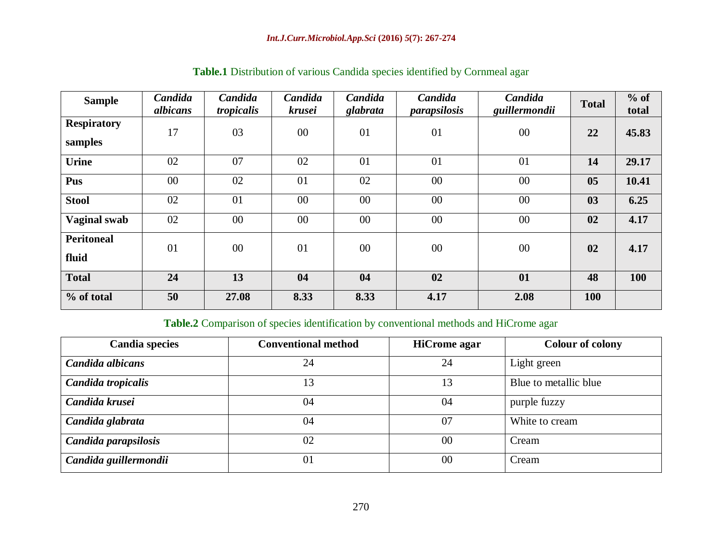| <b>Sample</b>                 | Candida<br>albicans | Candida<br>tropicalis | Candida<br>krusei | Candida<br>glabrata | Candida<br><i>parapsilosis</i> | Candida<br>guillermondii | <b>Total</b> | $%$ of<br>total |
|-------------------------------|---------------------|-----------------------|-------------------|---------------------|--------------------------------|--------------------------|--------------|-----------------|
| <b>Respiratory</b><br>samples | 17                  | 03                    | 00                | 01                  | 01                             | $00\,$                   | 22           | 45.83           |
| <b>Urine</b>                  | 02                  | 07                    | 02                | 01                  | 01                             | 01                       | 14           | 29.17           |
| Pus                           | 00                  | 02                    | 01                | 02                  | 00                             | $00\,$                   | 05           | 10.41           |
| <b>Stool</b>                  | 02                  | 01                    | 00                | $00\,$              | 00                             | $00\,$                   | 03           | 6.25            |
| <b>Vaginal swab</b>           | 02                  | 00                    | 00                | 00                  | 00                             | $00\,$                   | 02           | 4.17            |
| <b>Peritoneal</b><br>fluid    | 01                  | 00                    | 01                | 00                  | 00                             | 00                       | 02           | 4.17            |
| <b>Total</b>                  | 24                  | 13                    | 04                | 04                  | 02                             | 01                       | 48           | 100             |
| % of total                    | 50                  | 27.08                 | 8.33              | 8.33                | 4.17                           | 2.08                     | <b>100</b>   |                 |

# **Table.1** Distribution of various Candida species identified by Cornmeal agar

# **Table.2** Comparison of species identification by conventional methods and HiCrome agar

| <b>Candia species</b> | <b>Conventional method</b> | <b>HiCrome</b> agar | <b>Colour of colony</b> |
|-----------------------|----------------------------|---------------------|-------------------------|
| Candida albicans      | 24                         | 24                  | Light green             |
| Candida tropicalis    | 13                         | 13                  | Blue to metallic blue   |
| Candida krusei        | 04                         | 04                  | purple fuzzy            |
| Candida glabrata      | 04                         | 07                  | White to cream          |
| Candida parapsilosis  | 02                         | $00\,$              | Cream                   |
| Candida guillermondii | 01                         | 00                  | Cream                   |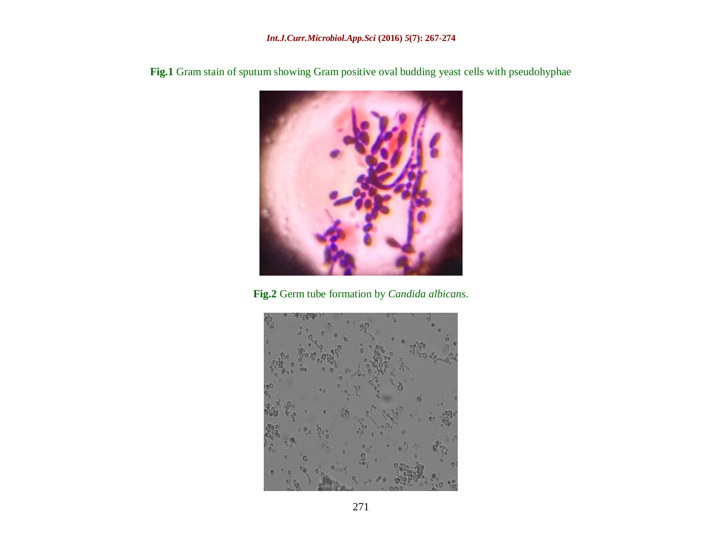

Fig.1 Gram stain of sputum showing Gram positive oval budding yeast cells with pseudohyphae

**Fig.2** Germ tube formation by *Candida albicans*.

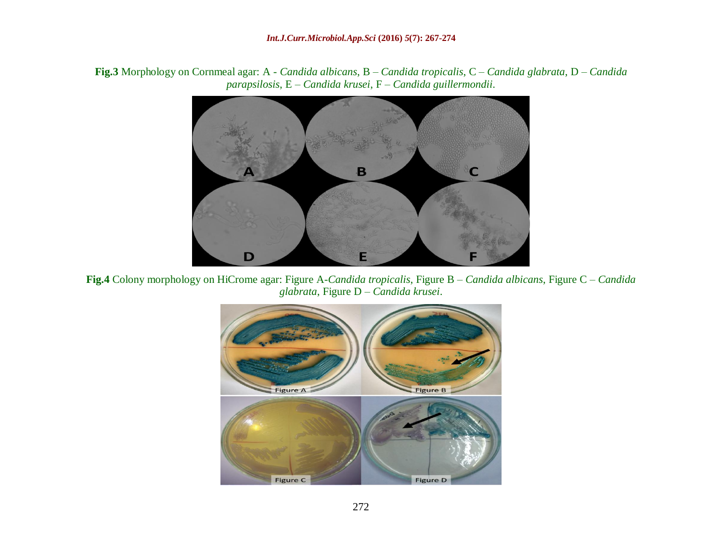**Fig.3** Morphology on Cornmeal agar: A - *Candida albicans*, B – *Candida tropicalis*, C – *Candida glabrata*, D – *Candida parapsilosis*, E – *Candida krusei*, F – *Candida guillermondii*.



**Fig.4** Colony morphology on HiCrome agar: Figure A-*Candida tropicalis*, Figure B – *Candida albicans*, Figure C – *Candida glabrata*, Figure D – *Candida krusei*.

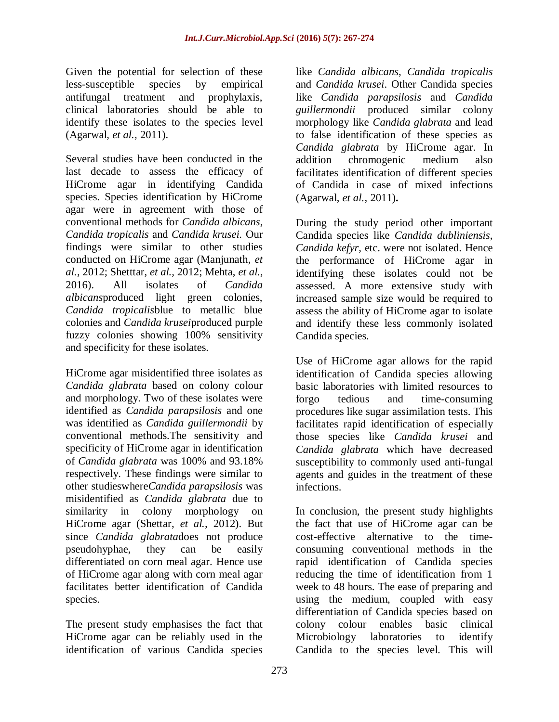Given the potential for selection of these less-susceptible species by empirical antifungal treatment and prophylaxis, clinical laboratories should be able to identify these isolates to the species level (Agarwal, *et al.,* 2011).

Several studies have been conducted in the last decade to assess the efficacy of HiCrome agar in identifying Candida species. Species identification by HiCrome agar were in agreement with those of conventional methods for *Candida albicans*, *Candida tropicalis* and *Candida krusei.* Our findings were similar to other studies conducted on HiCrome agar (Manjunath, *et al.,* 2012; Shetttar, *et al.,* 2012; Mehta, *et al.,* 2016). All isolates of *Candida albicans*produced light green colonies, *Candida tropicalis*blue to metallic blue colonies and *Candida krusei*produced purple fuzzy colonies showing 100% sensitivity and specificity for these isolates.

HiCrome agar misidentified three isolates as *Candida glabrata* based on colony colour and morphology. Two of these isolates were identified as *Candida parapsilosis* and one was identified as *Candida guillermondii* by conventional methods.The sensitivity and specificity of HiCrome agar in identification of *Candida glabrata* was 100% and 93.18% respectively. These findings were similar to other studieswhere*Candida parapsilosis* was misidentified as *Candida glabrata* due to similarity in colony morphology on HiCrome agar (Shettar, *et al.,* 2012). But since *Candida glabrata*does not produce pseudohyphae, they can be easily differentiated on corn meal agar. Hence use of HiCrome agar along with corn meal agar facilitates better identification of Candida species.

The present study emphasises the fact that HiCrome agar can be reliably used in the identification of various Candida species

like *Candida albicans*, *Candida tropicalis* and *Candida krusei*. Other Candida species like *Candida parapsilosis* and *Candida guillermondii* produced similar colony morphology like *Candida glabrata* and lead to false identification of these species as *Candida glabrata* by HiCrome agar. In addition chromogenic medium also facilitates identification of different species of Candida in case of mixed infections (Agarwal, *et al.,* 2011)**.**

During the study period other important Candida species like *Candida dubliniensis*, *Candida kefyr*, etc. were not isolated. Hence the performance of HiCrome agar in identifying these isolates could not be assessed. A more extensive study with increased sample size would be required to assess the ability of HiCrome agar to isolate and identify these less commonly isolated Candida species.

Use of HiCrome agar allows for the rapid identification of Candida species allowing basic laboratories with limited resources to forgo tedious and time-consuming procedures like sugar assimilation tests. This facilitates rapid identification of especially those species like *Candida krusei* and *Candida glabrata* which have decreased susceptibility to commonly used anti-fungal agents and guides in the treatment of these infections.

In conclusion, the present study highlights the fact that use of HiCrome agar can be cost-effective alternative to the timeconsuming conventional methods in the rapid identification of Candida species reducing the time of identification from 1 week to 48 hours. The ease of preparing and using the medium, coupled with easy differentiation of Candida species based on colony colour enables basic clinical Microbiology laboratories to identify Candida to the species level. This will